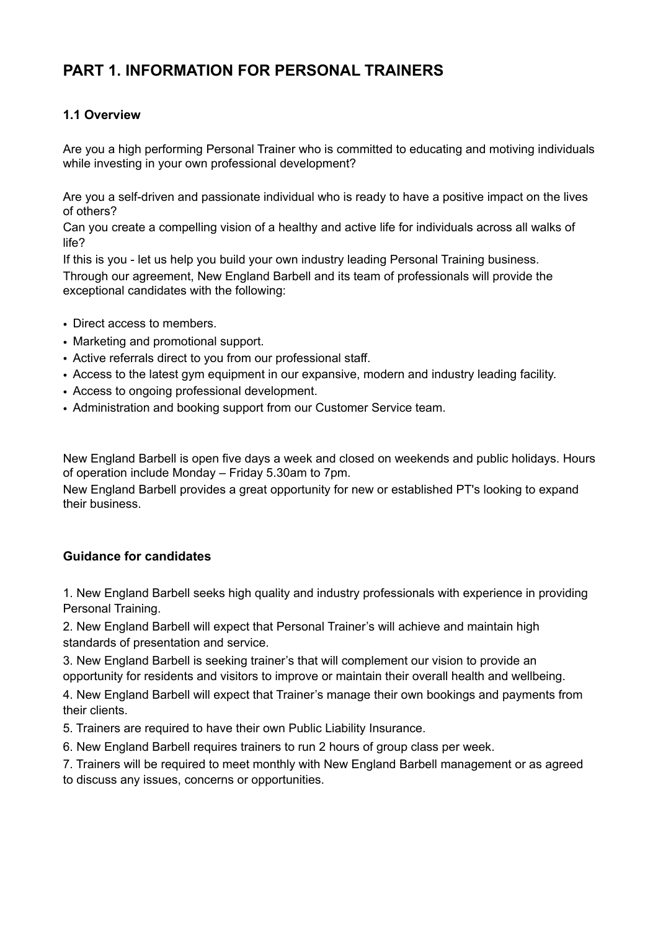## **PART 1. INFORMATION FOR PERSONAL TRAINERS**

## **1.1 Overview**

Are you a high performing Personal Trainer who is committed to educating and motiving individuals while investing in your own professional development?

Are you a self-driven and passionate individual who is ready to have a positive impact on the lives of others?

Can you create a compelling vision of a healthy and active life for individuals across all walks of life?

If this is you - let us help you build your own industry leading Personal Training business. Through our agreement, New England Barbell and its team of professionals will provide the exceptional candidates with the following:

- Direct access to members.
- Marketing and promotional support.
- Active referrals direct to you from our professional staff.
- Access to the latest gym equipment in our expansive, modern and industry leading facility.
- Access to ongoing professional development.
- Administration and booking support from our Customer Service team.

New England Barbell is open five days a week and closed on weekends and public holidays. Hours of operation include Monday – Friday 5.30am to 7pm.

New England Barbell provides a great opportunity for new or established PT's looking to expand their business.

### **Guidance for candidates**

1. New England Barbell seeks high quality and industry professionals with experience in providing Personal Training.

2. New England Barbell will expect that Personal Trainer's will achieve and maintain high standards of presentation and service.

3. New England Barbell is seeking trainer's that will complement our vision to provide an opportunity for residents and visitors to improve or maintain their overall health and wellbeing.

4. New England Barbell will expect that Trainer's manage their own bookings and payments from their clients.

- 5. Trainers are required to have their own Public Liability Insurance.
- 6. New England Barbell requires trainers to run 2 hours of group class per week.

7. Trainers will be required to meet monthly with New England Barbell management or as agreed to discuss any issues, concerns or opportunities.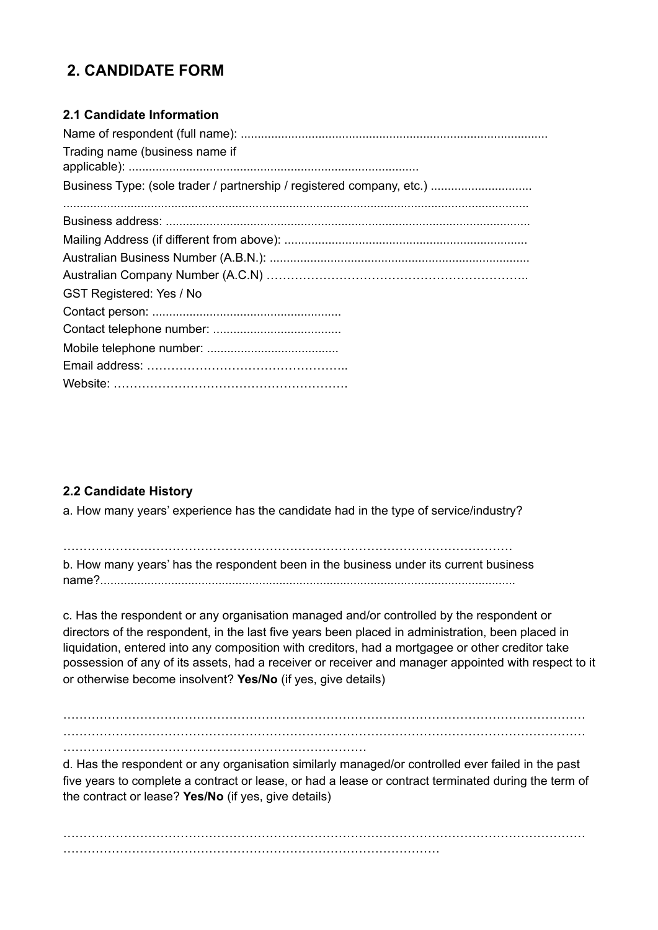# **2. CANDIDATE FORM**

## **2.1 Candidate Information**

| Trading name (business name if                                        |
|-----------------------------------------------------------------------|
|                                                                       |
| Business Type: (sole trader / partnership / registered company, etc.) |
|                                                                       |
|                                                                       |
|                                                                       |
|                                                                       |
|                                                                       |
| <b>GST Registered: Yes / No</b>                                       |
|                                                                       |
|                                                                       |
|                                                                       |
|                                                                       |
|                                                                       |

## **2.2 Candidate History**

a. How many years' experience has the candidate had in the type of service/industry?

………………………………………………………………………………………………… b. How many years' has the respondent been in the business under its current business name?...........................................................................................................................

c. Has the respondent or any organisation managed and/or controlled by the respondent or directors of the respondent, in the last five years been placed in administration, been placed in liquidation, entered into any composition with creditors, had a mortgagee or other creditor take possession of any of its assets, had a receiver or receiver and manager appointed with respect to it or otherwise become insolvent? **Yes/No** (if yes, give details)

………………………………………………………………………………………………………………… ………………………………………………………………………………………………………………… …………………………………………………………………

d. Has the respondent or any organisation similarly managed/or controlled ever failed in the past five years to complete a contract or lease, or had a lease or contract terminated during the term of the contract or lease? **Yes/No** (if yes, give details)

 $\mathcal{L}^{\text{max}}_{\text{max}}$ …………………………………………………………………………………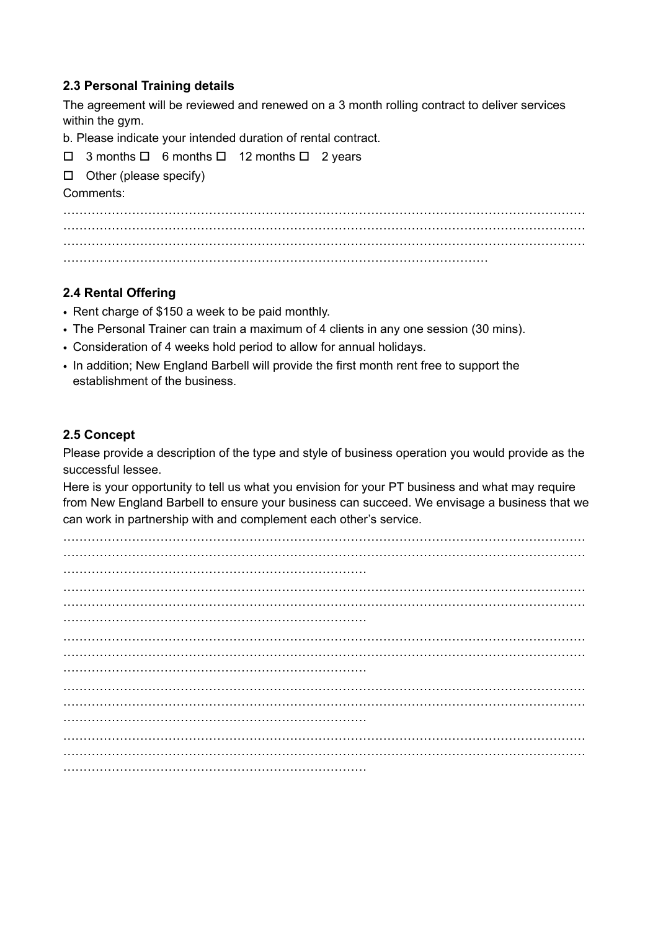#### **2.3 Personal Training details**

The agreement will be reviewed and renewed on a 3 month rolling contract to deliver services within the gym.

b. Please indicate your intended duration of rental contract.

 $\Box$  3 months  $\Box$  6 months  $\Box$  12 months  $\Box$  2 years

 $\Box$  Other (please specify)

#### Comments:

………………………………………………………………………………………………………………… ………………………………………………………………………………………………………………… . The contract of the contract of the contract of the contract of the contract of the contract of the contract of the contract of the contract of the contract of the contract of the contract of the contract of the contrac ……………………………………………………………………………………………

### **2.4 Rental Offering**

- Rent charge of \$150 a week to be paid monthly.
- The Personal Trainer can train a maximum of 4 clients in any one session (30 mins).
- Consideration of 4 weeks hold period to allow for annual holidays.
- In addition; New England Barbell will provide the first month rent free to support the establishment of the business.

#### **2.5 Concept**

Please provide a description of the type and style of business operation you would provide as the successful lessee.

Here is your opportunity to tell us what you envision for your PT business and what may require from New England Barbell to ensure your business can succeed. We envisage a business that we can work in partnership with and complement each other's service.

…………………………………………………………………………………………………………………  $\mathcal{L}^{\text{max}}_{\text{max}}$ ………………………………………………………………… …………………………………………………………………………………………………………………  $\mathcal{L}^{\text{max}}_{\text{max}}$ ………………………………………………………………… ………………………………………………………………………………………………………………… ………………………………………………………………………………………………………………… ………………………………………………………………… ………………………………………………………………………………………………………………… ………………………………………………………………………………………………………………… ………………………………………………………………… ………………………………………………………………………………………………………………… ………………………………………………………………………………………………………………… …………………………………………………………………